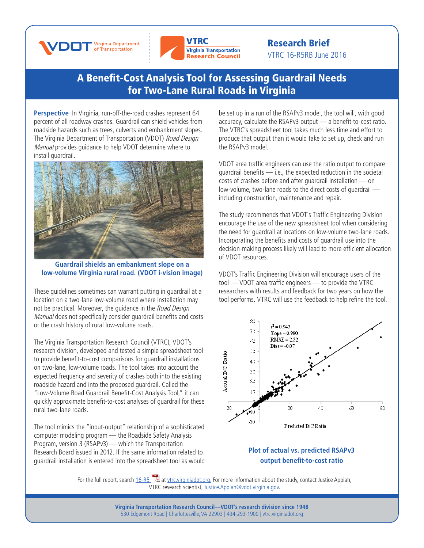



Research Brief VTRC 16-R5RB June 2016

## [A Benefit-Cost Analysis Tool for Assessing Guardrail Needs](http://www.virginiadot.org/vtrc/main/online_reports/pdf/16-r5.pdf)  [for Two-Lane Rural Roads in Virginia](http://www.virginiadot.org/vtrc/main/online_reports/pdf/16-r5.pdf)

**Perspective** In Virginia, run-off-the-road crashes represent 64 percent of all roadway crashes. Guardrail can shield vehicles from roadside hazards such as trees, culverts and embankment slopes. The Virginia Department of Transportation (VDOT) Road Design Manual provides guidance to help VDOT determine where to install guardrail.



**Guardrail shields an embankment slope on a low-volume Virginia rural road. (VDOT i-vision image)**

These guidelines sometimes can warrant putting in guardrail at a location on a two-lane low-volume road where installation may not be practical. Moreover, the quidance in the Road Design Manual does not specifically consider guardrail benefits and costs or the crash history of rural low-volume roads.

The Virginia Transportation Research Council (VTRC), VDOT's research division, developed and tested a simple spreadsheet tool to provide benefit-to-cost comparisons for guardrail installations on two-lane, low-volume roads. The tool takes into account the expected frequency and severity of crashes both into the existing roadside hazard and into the proposed guardrail. Called the "Low-Volume Road Guardrail Benefit-Cost Analysis Tool," it can quickly approximate benefit-to-cost analyses of guardrail for these rural two-lane roads.

The tool mimics the "input-output" relationship of a sophisticated computer modeling program — the Roadside Safety Analysis Program, version 3 (RSAPv3) — which the Transportation Research Board issued in 2012. If the same information related to guardrail installation is entered into the spreadsheet tool as would be set up in a run of the RSAPv3 model, the tool will, with good accuracy, calculate the RSAPv3 output — a benefit-to-cost ratio. The VTRC's spreadsheet tool takes much less time and effort to produce that output than it would take to set up, check and run the RSAPv3 model.

VDOT area traffic engineers can use the ratio output to compare guardrail benefits — i.e., the expected reduction in the societal costs of crashes before and after guardrail installation — on low-volume, two-lane roads to the direct costs of guardrail including construction, maintenance and repair.

The study recommends that VDOT's Traffic Engineering Division encourage the use of the new spreadsheet tool when considering the need for guardrail at locations on low-volume two-lane roads. Incorporating the benefits and costs of guardrail use into the decision-making process likely will lead to more efficient allocation of VDOT resources.

VDOT's Traffic Engineering Division will encourage users of the tool — VDOT area traffic engineers — to provide the VTRC researchers with results and feedback for two years on how the tool performs. VTRC will use the feedback to help refine the tool.



## **Plot of actual vs. predicted RSAPv3 output benefit-to-cost ratio**

For the full report, search  $16$ -R5  $\&$  at [vtrc.virginiadot.org](http://vtrc.virginiadot.org/). For more information about the study, contact Justice Appiah, VTRC research scientist, Justice.Appiah[@vdot.virginia.gov.](mailto:Justice.Appiah%40vdot.virginia.gov?subject=)

> **Virginia Transportation Research Council—VDOT's research division since 1948** 530 Edgemont Road | Charlottesville, VA 22903 | 434-293-1900 | [vtrc.virginiadot.org](http://vtrc.virginiadot.org)